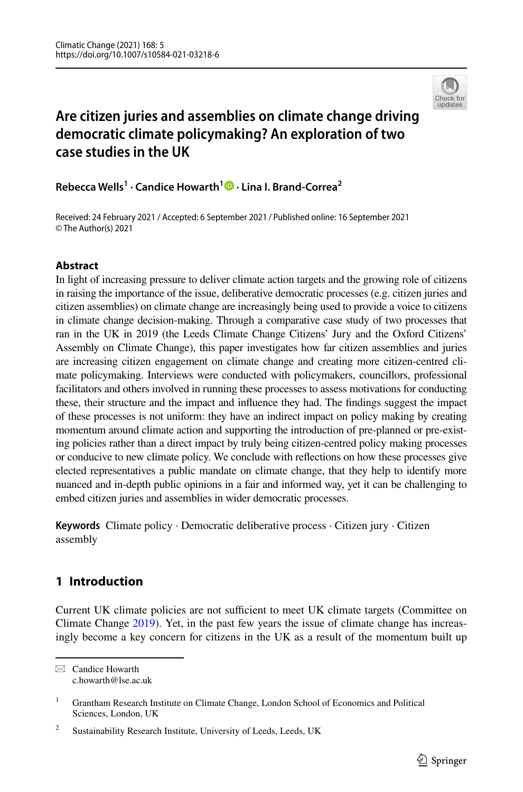

# **Are citizen juries and assemblies on climate change driving democratic climate policymaking? An exploration of two case studies in the UK**

**Rebecca Wells1 · Candice Howarth1  [·](http://orcid.org/0000-0003-2132-5747) Lina I. Brand‑Correa2**

© The Author(s) 2021 Received: 24 February 2021 / Accepted: 6 September 2021 Published online: 16 September 2021 /

### **Abstract**

In light of increasing pressure to deliver climate action targets and the growing role of citizens in raising the importance of the issue, deliberative democratic processes (e.g. citizen juries and citizen assemblies) on climate change are increasingly being used to provide a voice to citizens in climate change decision-making. Through a comparative case study of two processes that ran in the UK in 2019 (the Leeds Climate Change Citizens' Jury and the Oxford Citizens' Assembly on Climate Change), this paper investigates how far citizen assemblies and juries are increasing citizen engagement on climate change and creating more citizen-centred climate policymaking. Interviews were conducted with policymakers, councillors, professional facilitators and others involved in running these processes to assess motivations for conducting these, their structure and the impact and infuence they had. The fndings suggest the impact of these processes is not uniform: they have an indirect impact on policy making by creating momentum around climate action and supporting the introduction of pre-planned or pre-existing policies rather than a direct impact by truly being citizen-centred policy making processes or conducive to new climate policy. We conclude with refections on how these processes give elected representatives a public mandate on climate change, that they help to identify more nuanced and in-depth public opinions in a fair and informed way, yet it can be challenging to embed citizen juries and assemblies in wider democratic processes.

**Keywords** Climate policy · Democratic deliberative process · Citizen jury · Citizen assembly

## **1 Introduction**

Current UK climate policies are not sufficient to meet UK climate targets (Committee on Climate Change [2019](#page-19-0)). Yet, in the past few years the issue of climate change has increasingly become a key concern for citizens in the UK as a result of the momentum built up

 $\boxtimes$  Candice Howarth c.howarth@lse.ac.uk

<sup>&</sup>lt;sup>1</sup> Grantham Research Institute on Climate Change, London School of Economics and Political Sciences, London, UK

<sup>&</sup>lt;sup>2</sup> Sustainability Research Institute, University of Leeds, Leeds, UK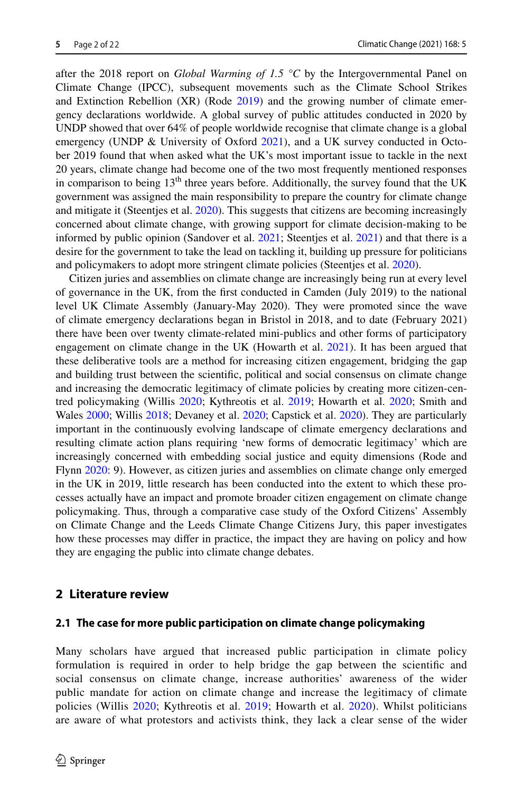after the 2018 report on *Global Warming of 1.5* °C by the Intergovernmental Panel on Climate Change (IPCC), subsequent movements such as the Climate School Strikes and Extinction Rebellion (XR) (Rode [2019](#page-20-0)) and the growing number of climate emergency declarations worldwide. A global survey of public attitudes conducted in 2020 by UNDP showed that over 64% of people worldwide recognise that climate change is a global emergency (UNDP  $\&$  University of Oxford [2021\)](#page-20-1), and a UK survey conducted in October 2019 found that when asked what the UK's most important issue to tackle in the next 20 years, climate change had become one of the two most frequently mentioned responses in comparison to being  $13<sup>th</sup>$  three years before. Additionally, the survey found that the UK government was assigned the main responsibility to prepare the country for climate change and mitigate it (Steentjes et al. [2020](#page-20-2)). This suggests that citizens are becoming increasingly concerned about climate change, with growing support for climate decision-making to be informed by public opinion (Sandover et al. [2021;](#page-20-3) Steentjes et al. [2021](#page-20-4)) and that there is a desire for the government to take the lead on tackling it, building up pressure for politicians and policymakers to adopt more stringent climate policies (Steentjes et al. [2020\)](#page-20-2).

Citizen juries and assemblies on climate change are increasingly being run at every level of governance in the UK, from the frst conducted in Camden (July 2019) to the national level UK Climate Assembly (January-May 2020). They were promoted since the wave of climate emergency declarations began in Bristol in 2018, and to date (February 2021) there have been over twenty climate-related mini-publics and other forms of participatory engagement on climate change in the UK (Howarth et al. [2021\)](#page-19-1). It has been argued that these deliberative tools are a method for increasing citizen engagement, bridging the gap and building trust between the scientifc, political and social consensus on climate change and increasing the democratic legitimacy of climate policies by creating more citizen-centred policymaking (Willis [2020;](#page-21-0) Kythreotis et al. [2019](#page-19-2); Howarth et al. [2020](#page-19-3); Smith and Wales [2000;](#page-20-5) Willis [2018;](#page-21-1) Devaney et al. [2020](#page-19-4); Capstick et al. [2020](#page-18-0)). They are particularly important in the continuously evolving landscape of climate emergency declarations and resulting climate action plans requiring 'new forms of democratic legitimacy' which are increasingly concerned with embedding social justice and equity dimensions (Rode and Flynn [2020](#page-20-6): 9). However, as citizen juries and assemblies on climate change only emerged in the UK in 2019, little research has been conducted into the extent to which these processes actually have an impact and promote broader citizen engagement on climate change policymaking. Thus, through a comparative case study of the Oxford Citizens' Assembly on Climate Change and the Leeds Climate Change Citizens Jury, this paper investigates how these processes may difer in practice, the impact they are having on policy and how they are engaging the public into climate change debates.

#### <span id="page-1-0"></span>**2 Literature review**

#### **2.1 The case for more public participation on climate change policymaking**

Many scholars have argued that increased public participation in climate policy formulation is required in order to help bridge the gap between the scientifc and social consensus on climate change, increase authorities' awareness of the wider public mandate for action on climate change and increase the legitimacy of climate policies (Willis [2020](#page-21-0); Kythreotis et al. [2019](#page-19-2); Howarth et al. [2020\)](#page-19-3). Whilst politicians are aware of what protestors and activists think, they lack a clear sense of the wider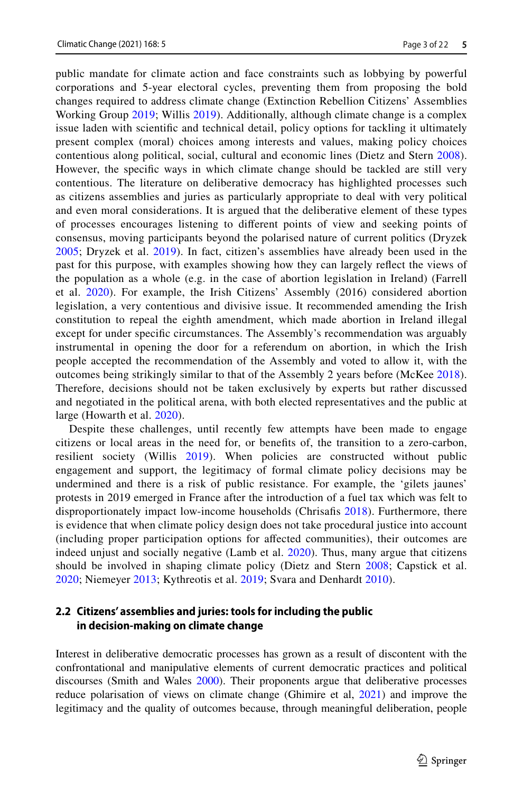public mandate for climate action and face constraints such as lobbying by powerful corporations and 5-year electoral cycles, preventing them from proposing the bold changes required to address climate change (Extinction Rebellion Citizens' Assemblies Working Group [2019](#page-19-5); Willis [2019](#page-21-2)). Additionally, although climate change is a complex issue laden with scientifc and technical detail, policy options for tackling it ultimately present complex (moral) choices among interests and values, making policy choices contentious along political, social, cultural and economic lines (Dietz and Stern [2008\)](#page-19-6). However, the specifc ways in which climate change should be tackled are still very contentious. The literature on deliberative democracy has highlighted processes such as citizens assemblies and juries as particularly appropriate to deal with very political and even moral considerations. It is argued that the deliberative element of these types of processes encourages listening to diferent points of view and seeking points of consensus, moving participants beyond the polarised nature of current politics (Dryzek [2005](#page-19-7); Dryzek et al. [2019](#page-19-8)). In fact, citizen's assemblies have already been used in the past for this purpose, with examples showing how they can largely refect the views of the population as a whole (e.g. in the case of abortion legislation in Ireland) (Farrell et al. [2020\)](#page-19-9). For example, the Irish Citizens' Assembly (2016) considered abortion legislation, a very contentious and divisive issue. It recommended amending the Irish constitution to repeal the eighth amendment, which made abortion in Ireland illegal except for under specifc circumstances. The Assembly's recommendation was arguably instrumental in opening the door for a referendum on abortion, in which the Irish people accepted the recommendation of the Assembly and voted to allow it, with the outcomes being strikingly similar to that of the Assembly 2 years before (McKee [2018\)](#page-19-10). Therefore, decisions should not be taken exclusively by experts but rather discussed and negotiated in the political arena, with both elected representatives and the public at large (Howarth et al. [2020\)](#page-19-3).

Despite these challenges, until recently few attempts have been made to engage citizens or local areas in the need for, or benefts of, the transition to a zero-carbon, resilient society (Willis [2019\)](#page-21-2). When policies are constructed without public engagement and support, the legitimacy of formal climate policy decisions may be undermined and there is a risk of public resistance. For example, the 'gilets jaunes' protests in 2019 emerged in France after the introduction of a fuel tax which was felt to disproportionately impact low-income households (Chrisafs [2018](#page-19-11)). Furthermore, there is evidence that when climate policy design does not take procedural justice into account (including proper participation options for afected communities), their outcomes are indeed unjust and socially negative (Lamb et al. [2020](#page-19-12)). Thus, many argue that citizens should be involved in shaping climate policy (Dietz and Stern [2008;](#page-19-6) Capstick et al. [2020](#page-18-0); Niemeyer [2013;](#page-20-7) Kythreotis et al. [2019;](#page-19-2) Svara and Denhardt [2010\)](#page-20-8).

#### **2.2 Citizens' assemblies and juries: tools for including the public in decision‑making on climate change**

Interest in deliberative democratic processes has grown as a result of discontent with the confrontational and manipulative elements of current democratic practices and political discourses (Smith and Wales [2000](#page-20-5)). Their proponents argue that deliberative processes reduce polarisation of views on climate change (Ghimire et al, [2021\)](#page-19-13) and improve the legitimacy and the quality of outcomes because, through meaningful deliberation, people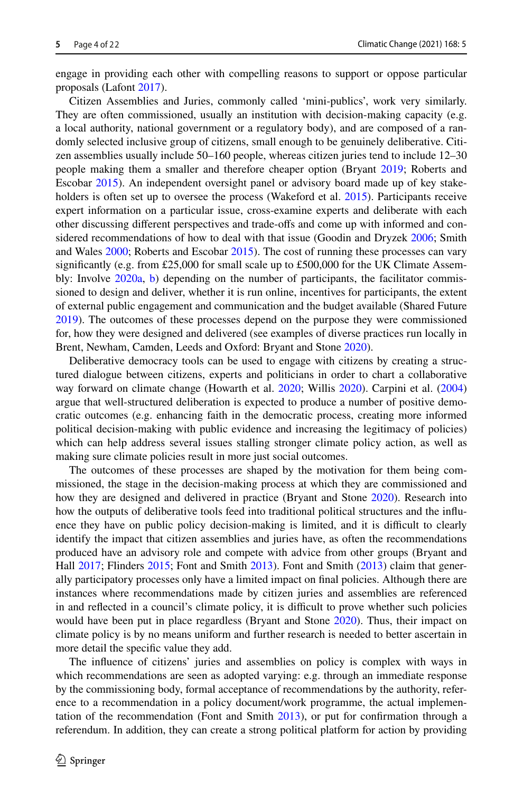engage in providing each other with compelling reasons to support or oppose particular proposals (Lafont [2017](#page-19-14)).

Citizen Assemblies and Juries, commonly called 'mini-publics', work very similarly. They are often commissioned, usually an institution with decision-making capacity (e.g. a local authority, national government or a regulatory body), and are composed of a randomly selected inclusive group of citizens, small enough to be genuinely deliberative. Citizen assemblies usually include 50–160 people, whereas citizen juries tend to include 12–30 people making them a smaller and therefore cheaper option (Bryant [2019](#page-18-1); Roberts and Escobar [2015\)](#page-20-9). An independent oversight panel or advisory board made up of key stake-holders is often set up to oversee the process (Wakeford et al. [2015\)](#page-21-3). Participants receive expert information on a particular issue, cross-examine experts and deliberate with each other discussing diferent perspectives and trade-ofs and come up with informed and considered recommendations of how to deal with that issue (Goodin and Dryzek [2006](#page-19-15); Smith and Wales [2000;](#page-20-5) Roberts and Escobar [2015](#page-20-9)). The cost of running these processes can vary significantly (e.g. from £25,000 for small scale up to £500,000 for the UK Climate Assem-bly: Involve [2020a,](#page-19-16) [b\)](#page-19-17) depending on the number of participants, the facilitator commissioned to design and deliver, whether it is run online, incentives for participants, the extent of external public engagement and communication and the budget available (Shared Future [2019\)](#page-20-10). The outcomes of these processes depend on the purpose they were commissioned for, how they were designed and delivered (see examples of diverse practices run locally in Brent, Newham, Camden, Leeds and Oxford: Bryant and Stone [2020](#page-18-2)).

Deliberative democracy tools can be used to engage with citizens by creating a structured dialogue between citizens, experts and politicians in order to chart a collaborative way forward on climate change (Howarth et al. [2020;](#page-19-3) Willis [2020](#page-21-0)). Carpini et al. [\(2004](#page-18-3)) argue that well-structured deliberation is expected to produce a number of positive democratic outcomes (e.g. enhancing faith in the democratic process, creating more informed political decision-making with public evidence and increasing the legitimacy of policies) which can help address several issues stalling stronger climate policy action, as well as making sure climate policies result in more just social outcomes.

The outcomes of these processes are shaped by the motivation for them being commissioned, the stage in the decision-making process at which they are commissioned and how they are designed and delivered in practice (Bryant and Stone [2020](#page-18-2)). Research into how the outputs of deliberative tools feed into traditional political structures and the infuence they have on public policy decision-making is limited, and it is difficult to clearly identify the impact that citizen assemblies and juries have, as often the recommendations produced have an advisory role and compete with advice from other groups (Bryant and Hall [2017;](#page-18-4) Flinders [2015](#page-19-18); Font and Smith [2013\)](#page-19-19). Font and Smith ([2013\)](#page-19-19) claim that generally participatory processes only have a limited impact on fnal policies. Although there are instances where recommendations made by citizen juries and assemblies are referenced in and reflected in a council's climate policy, it is difficult to prove whether such policies would have been put in place regardless (Bryant and Stone [2020\)](#page-18-2). Thus, their impact on climate policy is by no means uniform and further research is needed to better ascertain in more detail the specifc value they add.

The infuence of citizens' juries and assemblies on policy is complex with ways in which recommendations are seen as adopted varying: e.g. through an immediate response by the commissioning body, formal acceptance of recommendations by the authority, reference to a recommendation in a policy document/work programme, the actual implementation of the recommendation (Font and Smith [2013\)](#page-19-19), or put for confrmation through a referendum. In addition, they can create a strong political platform for action by providing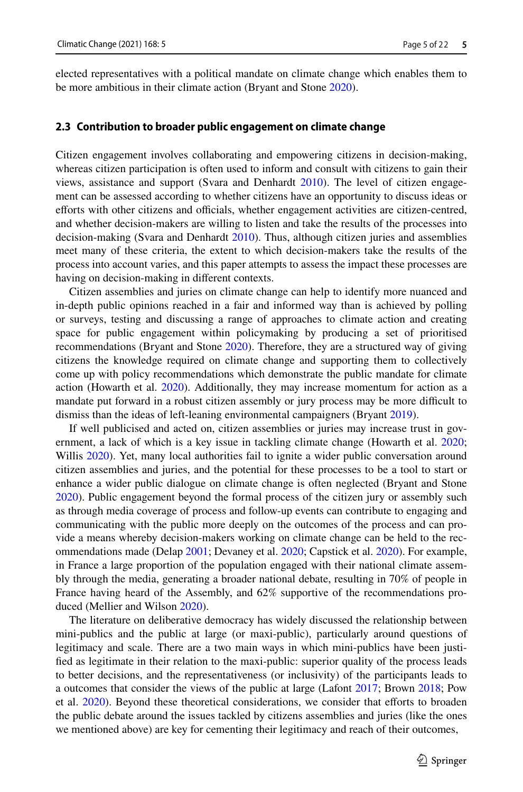elected representatives with a political mandate on climate change which enables them to be more ambitious in their climate action (Bryant and Stone [2020\)](#page-18-2).

#### **2.3 Contribution to broader public engagement on climate change**

Citizen engagement involves collaborating and empowering citizens in decision-making, whereas citizen participation is often used to inform and consult with citizens to gain their views, assistance and support (Svara and Denhardt [2010\)](#page-20-8). The level of citizen engagement can be assessed according to whether citizens have an opportunity to discuss ideas or efforts with other citizens and officials, whether engagement activities are citizen-centred, and whether decision-makers are willing to listen and take the results of the processes into decision-making (Svara and Denhardt [2010\)](#page-20-8). Thus, although citizen juries and assemblies meet many of these criteria, the extent to which decision-makers take the results of the process into account varies, and this paper attempts to assess the impact these processes are having on decision-making in diferent contexts.

Citizen assemblies and juries on climate change can help to identify more nuanced and in-depth public opinions reached in a fair and informed way than is achieved by polling or surveys, testing and discussing a range of approaches to climate action and creating space for public engagement within policymaking by producing a set of prioritised recommendations (Bryant and Stone [2020](#page-18-2)). Therefore, they are a structured way of giving citizens the knowledge required on climate change and supporting them to collectively come up with policy recommendations which demonstrate the public mandate for climate action (Howarth et al. [2020\)](#page-19-3). Additionally, they may increase momentum for action as a mandate put forward in a robust citizen assembly or jury process may be more difficult to dismiss than the ideas of left-leaning environmental campaigners (Bryant [2019\)](#page-18-1).

If well publicised and acted on, citizen assemblies or juries may increase trust in government, a lack of which is a key issue in tackling climate change (Howarth et al. [2020;](#page-19-3) Willis [2020\)](#page-21-0). Yet, many local authorities fail to ignite a wider public conversation around citizen assemblies and juries, and the potential for these processes to be a tool to start or enhance a wider public dialogue on climate change is often neglected (Bryant and Stone [2020\)](#page-18-2). Public engagement beyond the formal process of the citizen jury or assembly such as through media coverage of process and follow-up events can contribute to engaging and communicating with the public more deeply on the outcomes of the process and can provide a means whereby decision-makers working on climate change can be held to the recommendations made (Delap [2001](#page-19-20); Devaney et al. [2020](#page-19-4); Capstick et al. [2020](#page-18-0)). For example, in France a large proportion of the population engaged with their national climate assembly through the media, generating a broader national debate, resulting in 70% of people in France having heard of the Assembly, and 62% supportive of the recommendations produced (Mellier and Wilson [2020](#page-20-11)).

The literature on deliberative democracy has widely discussed the relationship between mini-publics and the public at large (or maxi-public), particularly around questions of legitimacy and scale. There are a two main ways in which mini-publics have been justifed as legitimate in their relation to the maxi-public: superior quality of the process leads to better decisions, and the representativeness (or inclusivity) of the participants leads to a outcomes that consider the views of the public at large (Lafont [2017;](#page-19-14) Brown [2018;](#page-18-5) Pow et al. [2020](#page-20-12)). Beyond these theoretical considerations, we consider that eforts to broaden the public debate around the issues tackled by citizens assemblies and juries (like the ones we mentioned above) are key for cementing their legitimacy and reach of their outcomes,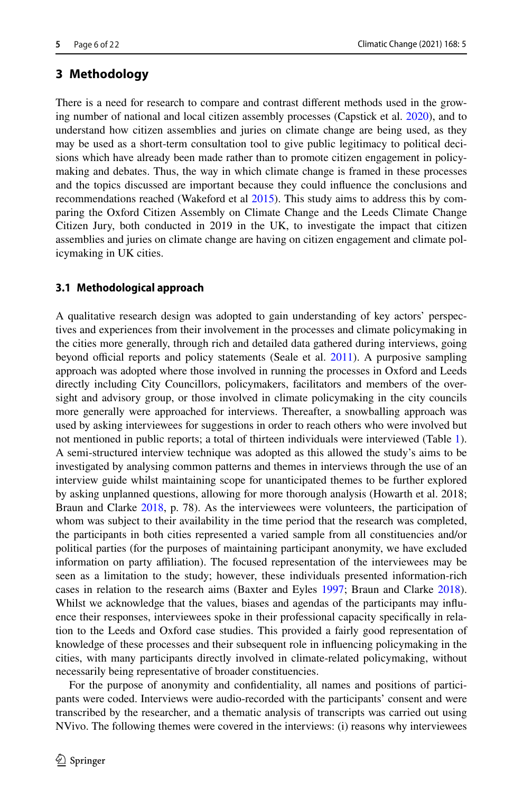## **3 Methodology**

There is a need for research to compare and contrast diferent methods used in the growing number of national and local citizen assembly processes (Capstick et al. [2020](#page-18-0)), and to understand how citizen assemblies and juries on climate change are being used, as they may be used as a short-term consultation tool to give public legitimacy to political decisions which have already been made rather than to promote citizen engagement in policymaking and debates. Thus, the way in which climate change is framed in these processes and the topics discussed are important because they could infuence the conclusions and recommendations reached (Wakeford et al [2015\)](#page-21-3). This study aims to address this by comparing the Oxford Citizen Assembly on Climate Change and the Leeds Climate Change Citizen Jury, both conducted in 2019 in the UK, to investigate the impact that citizen assemblies and juries on climate change are having on citizen engagement and climate policymaking in UK cities.

### **3.1 Methodological approach**

A qualitative research design was adopted to gain understanding of key actors' perspectives and experiences from their involvement in the processes and climate policymaking in the cities more generally, through rich and detailed data gathered during interviews, going beyond official reports and policy statements (Seale et al. [2011\)](#page-20-13). A purposive sampling approach was adopted where those involved in running the processes in Oxford and Leeds directly including City Councillors, policymakers, facilitators and members of the oversight and advisory group, or those involved in climate policymaking in the city councils more generally were approached for interviews. Thereafter, a snowballing approach was used by asking interviewees for suggestions in order to reach others who were involved but not mentioned in public reports; a total of thirteen individuals were interviewed (Table [1](#page-6-0)). A semi-structured interview technique was adopted as this allowed the study's aims to be investigated by analysing common patterns and themes in interviews through the use of an interview guide whilst maintaining scope for unanticipated themes to be further explored by asking unplanned questions, allowing for more thorough analysis (Howarth et al. 2018; Braun and Clarke [2018,](#page-18-6) p. 78). As the interviewees were volunteers, the participation of whom was subject to their availability in the time period that the research was completed, the participants in both cities represented a varied sample from all constituencies and/or political parties (for the purposes of maintaining participant anonymity, we have excluded information on party afliation). The focused representation of the interviewees may be seen as a limitation to the study; however, these individuals presented information-rich cases in relation to the research aims (Baxter and Eyles [1997](#page-18-7); Braun and Clarke [2018](#page-18-6)). Whilst we acknowledge that the values, biases and agendas of the participants may influence their responses, interviewees spoke in their professional capacity specifcally in relation to the Leeds and Oxford case studies. This provided a fairly good representation of knowledge of these processes and their subsequent role in infuencing policymaking in the cities, with many participants directly involved in climate-related policymaking, without necessarily being representative of broader constituencies.

For the purpose of anonymity and confdentiality, all names and positions of participants were coded. Interviews were audio-recorded with the participants' consent and were transcribed by the researcher, and a thematic analysis of transcripts was carried out using NVivo. The following themes were covered in the interviews: (i) reasons why interviewees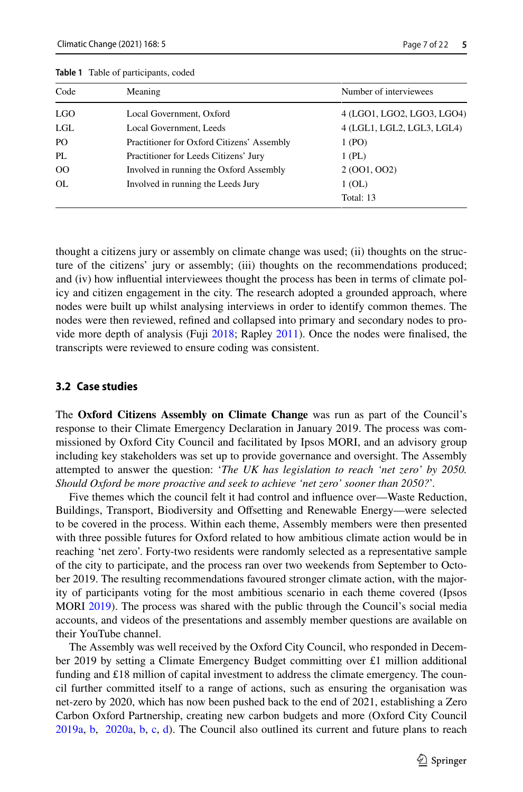| Code           | Meaning                                    | Number of interviewees     |
|----------------|--------------------------------------------|----------------------------|
| LGO.           | Local Government, Oxford                   | 4 (LGO1, LGO2, LGO3, LGO4) |
| LGL            | Local Government, Leeds                    | 4 (LGL1, LGL2, LGL3, LGL4) |
| P <sub>O</sub> | Practitioner for Oxford Citizens' Assembly | 1 (PO)                     |
| PI.            | Practitioner for Leeds Citizens' Jury      | $1$ (PL)                   |
| 00             | Involved in running the Oxford Assembly    | 2 (001, 002)               |
| OL             | Involved in running the Leeds Jury         | 1(OL)                      |
|                |                                            | Total: 13                  |

<span id="page-6-0"></span>**Table 1** Table of participants, coded

thought a citizens jury or assembly on climate change was used; (ii) thoughts on the structure of the citizens' jury or assembly; (iii) thoughts on the recommendations produced; and (iv) how infuential interviewees thought the process has been in terms of climate policy and citizen engagement in the city. The research adopted a grounded approach, where nodes were built up whilst analysing interviews in order to identify common themes. The nodes were then reviewed, refned and collapsed into primary and secondary nodes to provide more depth of analysis (Fuji [2018;](#page-19-21) Rapley [2011](#page-20-14)). Once the nodes were fnalised, the transcripts were reviewed to ensure coding was consistent.

#### **3.2 Case studies**

The **Oxford Citizens Assembly on Climate Change** was run as part of the Council's response to their Climate Emergency Declaration in January 2019. The process was commissioned by Oxford City Council and facilitated by Ipsos MORI, and an advisory group including key stakeholders was set up to provide governance and oversight. The Assembly attempted to answer the question: '*The UK has legislation to reach 'net zero' by 2050. Should Oxford be more proactive and seek to achieve 'net zero' sooner than 2050?*'.

Five themes which the council felt it had control and infuence over—Waste Reduction, Buildings, Transport, Biodiversity and Ofsetting and Renewable Energy—were selected to be covered in the process. Within each theme, Assembly members were then presented with three possible futures for Oxford related to how ambitious climate action would be in reaching 'net zero'. Forty-two residents were randomly selected as a representative sample of the city to participate, and the process ran over two weekends from September to October 2019. The resulting recommendations favoured stronger climate action, with the majority of participants voting for the most ambitious scenario in each theme covered (Ipsos MORI [2019\)](#page-19-22). The process was shared with the public through the Council's social media accounts, and videos of the presentations and assembly member questions are available on their YouTube channel.

The Assembly was well received by the Oxford City Council, who responded in December 2019 by setting a Climate Emergency Budget committing over £1 million additional funding and  $£18$  million of capital investment to address the climate emergency. The council further committed itself to a range of actions, such as ensuring the organisation was net-zero by 2020, which has now been pushed back to the end of 2021, establishing a Zero Carbon Oxford Partnership, creating new carbon budgets and more (Oxford City Council [2019a,](#page-20-15) [b](#page-20-16),  [2020a,](#page-20-17) [b](#page-20-18), [c,](#page-20-19) [d\)](#page-20-20). The Council also outlined its current and future plans to reach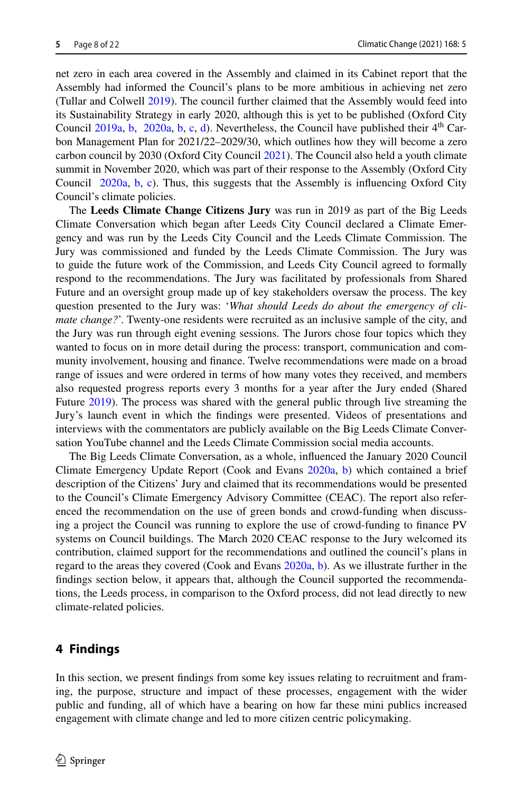net zero in each area covered in the Assembly and claimed in its Cabinet report that the Assembly had informed the Council's plans to be more ambitious in achieving net zero (Tullar and Colwell [2019](#page-20-21)). The council further claimed that the Assembly would feed into its Sustainability Strategy in early 2020, although this is yet to be published (Oxford City Council [2019a,](#page-20-15) [b,](#page-20-18) [2020a](#page-20-17), b, [c](#page-20-19), [d](#page-20-20)). Nevertheless, the Council have published their  $4<sup>th</sup>$  Carbon Management Plan for 2021/22–2029/30, which outlines how they will become a zero carbon council by 2030 (Oxford City Council [2021\)](#page-20-22). The Council also held a youth climate summit in November 2020, which was part of their response to the Assembly (Oxford City Coun[c](#page-20-19)il  $2020a$ , [b,](#page-20-18) c). Thus, this suggests that the Assembly is influencing Oxford City Council's climate policies.

The **Leeds Climate Change Citizens Jury** was run in 2019 as part of the Big Leeds Climate Conversation which began after Leeds City Council declared a Climate Emergency and was run by the Leeds City Council and the Leeds Climate Commission. The Jury was commissioned and funded by the Leeds Climate Commission. The Jury was to guide the future work of the Commission, and Leeds City Council agreed to formally respond to the recommendations. The Jury was facilitated by professionals from Shared Future and an oversight group made up of key stakeholders oversaw the process. The key question presented to the Jury was: '*What should Leeds do about the emergency of climate change?*'. Twenty-one residents were recruited as an inclusive sample of the city, and the Jury was run through eight evening sessions. The Jurors chose four topics which they wanted to focus on in more detail during the process: transport, communication and community involvement, housing and fnance. Twelve recommendations were made on a broad range of issues and were ordered in terms of how many votes they received, and members also requested progress reports every 3 months for a year after the Jury ended (Shared Future [2019\)](#page-20-10). The process was shared with the general public through live streaming the Jury's launch event in which the fndings were presented. Videos of presentations and interviews with the commentators are publicly available on the Big Leeds Climate Conversation YouTube channel and the Leeds Climate Commission social media accounts.

The Big Leeds Climate Conversation, as a whole, infuenced the January 2020 Council Climate Emergency Update Report (Cook and Evans [2020a,](#page-19-23) [b\)](#page-19-24) which contained a brief description of the Citizens' Jury and claimed that its recommendations would be presented to the Council's Climate Emergency Advisory Committee (CEAC). The report also referenced the recommendation on the use of green bonds and crowd-funding when discussing a project the Council was running to explore the use of crowd-funding to fnance PV systems on Council buildings. The March 2020 CEAC response to the Jury welcomed its contribution, claimed support for the recommendations and outlined the council's plans in regard to the areas they covered (Cook and Evans [2020a](#page-19-23), [b\)](#page-19-24). As we illustrate further in the fndings section below, it appears that, although the Council supported the recommendations, the Leeds process, in comparison to the Oxford process, did not lead directly to new climate-related policies.

### **4 Findings**

In this section, we present fndings from some key issues relating to recruitment and framing, the purpose, structure and impact of these processes, engagement with the wider public and funding, all of which have a bearing on how far these mini publics increased engagement with climate change and led to more citizen centric policymaking.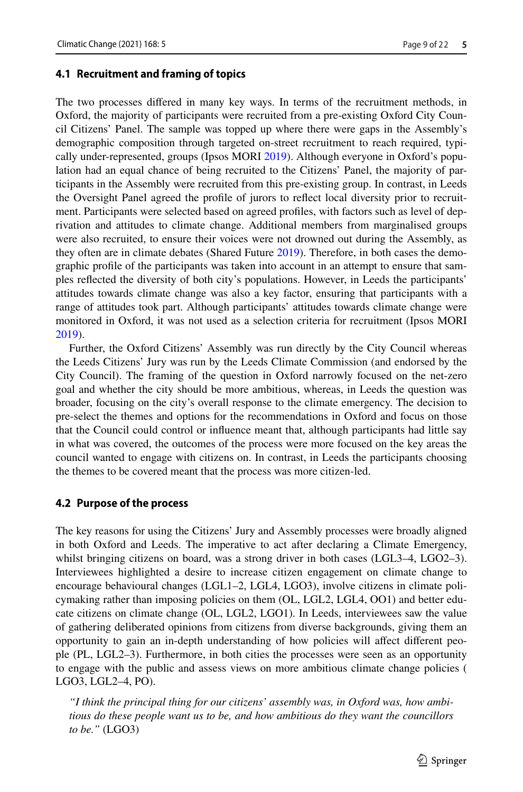#### **4.1 Recruitment and framing of topics**

The two processes difered in many key ways. In terms of the recruitment methods, in Oxford, the majority of participants were recruited from a pre-existing Oxford City Council Citizens' Panel. The sample was topped up where there were gaps in the Assembly's demographic composition through targeted on-street recruitment to reach required, typically under-represented, groups (Ipsos MORI [2019](#page-19-22)). Although everyone in Oxford's population had an equal chance of being recruited to the Citizens' Panel, the majority of participants in the Assembly were recruited from this pre-existing group. In contrast, in Leeds the Oversight Panel agreed the profle of jurors to refect local diversity prior to recruitment. Participants were selected based on agreed profles, with factors such as level of deprivation and attitudes to climate change. Additional members from marginalised groups were also recruited, to ensure their voices were not drowned out during the Assembly, as they often are in climate debates (Shared Future [2019\)](#page-20-10). Therefore, in both cases the demographic profle of the participants was taken into account in an attempt to ensure that samples refected the diversity of both city's populations. However, in Leeds the participants' attitudes towards climate change was also a key factor, ensuring that participants with a range of attitudes took part. Although participants' attitudes towards climate change were monitored in Oxford, it was not used as a selection criteria for recruitment (Ipsos MORI [2019\)](#page-19-22).

Further, the Oxford Citizens' Assembly was run directly by the City Council whereas the Leeds Citizens' Jury was run by the Leeds Climate Commission (and endorsed by the City Council). The framing of the question in Oxford narrowly focused on the net-zero goal and whether the city should be more ambitious, whereas, in Leeds the question was broader, focusing on the city's overall response to the climate emergency. The decision to pre-select the themes and options for the recommendations in Oxford and focus on those that the Council could control or infuence meant that, although participants had little say in what was covered, the outcomes of the process were more focused on the key areas the council wanted to engage with citizens on. In contrast, in Leeds the participants choosing the themes to be covered meant that the process was more citizen-led.

#### **4.2 Purpose of the process**

The key reasons for using the Citizens' Jury and Assembly processes were broadly aligned in both Oxford and Leeds. The imperative to act after declaring a Climate Emergency, whilst bringing citizens on board, was a strong driver in both cases (LGL3–4, LGO2–3). Interviewees highlighted a desire to increase citizen engagement on climate change to encourage behavioural changes (LGL1–2, LGL4, LGO3), involve citizens in climate policymaking rather than imposing policies on them (OL, LGL2, LGL4, OO1) and better educate citizens on climate change (OL, LGL2, LGO1). In Leeds, interviewees saw the value of gathering deliberated opinions from citizens from diverse backgrounds, giving them an opportunity to gain an in-depth understanding of how policies will afect diferent people (PL, LGL2–3). Furthermore, in both cities the processes were seen as an opportunity to engage with the public and assess views on more ambitious climate change policies ( LGO3, LGL2–4, PO).

*"I think the principal thing for our citizens' assembly was, in Oxford was, how ambitious do these people want us to be, and how ambitious do they want the councillors to be."* (LGO3)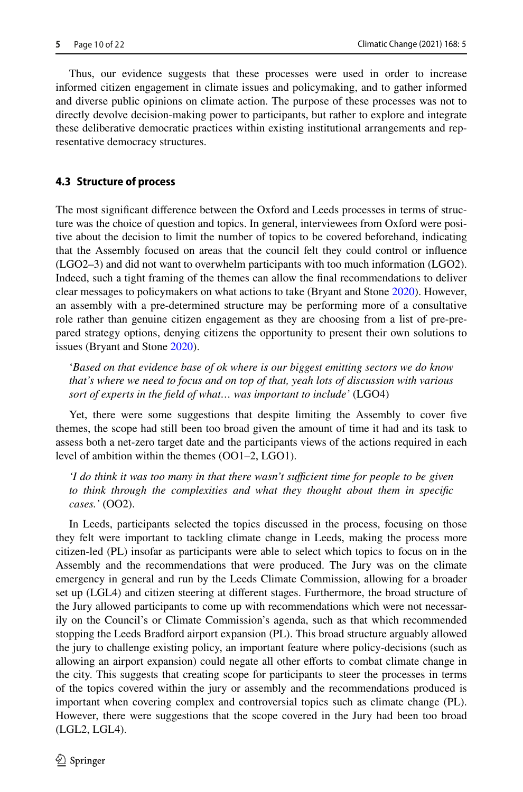Thus, our evidence suggests that these processes were used in order to increase informed citizen engagement in climate issues and policymaking, and to gather informed and diverse public opinions on climate action. The purpose of these processes was not to directly devolve decision-making power to participants, but rather to explore and integrate these deliberative democratic practices within existing institutional arrangements and representative democracy structures.

## **4.3 Structure of process**

The most signifcant diference between the Oxford and Leeds processes in terms of structure was the choice of question and topics. In general, interviewees from Oxford were positive about the decision to limit the number of topics to be covered beforehand, indicating that the Assembly focused on areas that the council felt they could control or infuence (LGO2–3) and did not want to overwhelm participants with too much information (LGO2). Indeed, such a tight framing of the themes can allow the fnal recommendations to deliver clear messages to policymakers on what actions to take (Bryant and Stone [2020\)](#page-18-2). However, an assembly with a pre-determined structure may be performing more of a consultative role rather than genuine citizen engagement as they are choosing from a list of pre-prepared strategy options, denying citizens the opportunity to present their own solutions to issues (Bryant and Stone [2020](#page-18-2)).

'*Based on that evidence base of ok where is our biggest emitting sectors we do know that's where we need to focus and on top of that, yeah lots of discussion with various sort of experts in the feld of what… was important to include'* (LGO4)

Yet, there were some suggestions that despite limiting the Assembly to cover fve themes, the scope had still been too broad given the amount of time it had and its task to assess both a net-zero target date and the participants views of the actions required in each level of ambition within the themes (OO1–2, LGO1).

*'I do think it was too many in that there wasn't sufficient time for people to be given to think through the complexities and what they thought about them in specifc cases.'* (OO2).

In Leeds, participants selected the topics discussed in the process, focusing on those they felt were important to tackling climate change in Leeds, making the process more citizen-led (PL) insofar as participants were able to select which topics to focus on in the Assembly and the recommendations that were produced. The Jury was on the climate emergency in general and run by the Leeds Climate Commission, allowing for a broader set up (LGL4) and citizen steering at diferent stages. Furthermore, the broad structure of the Jury allowed participants to come up with recommendations which were not necessarily on the Council's or Climate Commission's agenda, such as that which recommended stopping the Leeds Bradford airport expansion (PL). This broad structure arguably allowed the jury to challenge existing policy, an important feature where policy-decisions (such as allowing an airport expansion) could negate all other efforts to combat climate change in the city. This suggests that creating scope for participants to steer the processes in terms of the topics covered within the jury or assembly and the recommendations produced is important when covering complex and controversial topics such as climate change (PL). However, there were suggestions that the scope covered in the Jury had been too broad (LGL2, LGL4).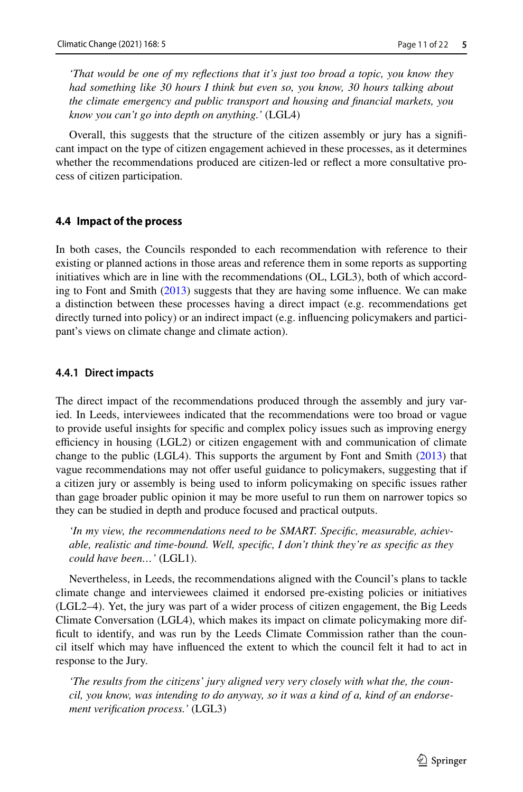*'That would be one of my refections that it's just too broad a topic, you know they had something like 30 hours I think but even so, you know, 30 hours talking about the climate emergency and public transport and housing and fnancial markets, you know you can't go into depth on anything.'* (LGL4)

Overall, this suggests that the structure of the citizen assembly or jury has a signifcant impact on the type of citizen engagement achieved in these processes, as it determines whether the recommendations produced are citizen-led or refect a more consultative process of citizen participation.

#### **4.4 Impact of the process**

In both cases, the Councils responded to each recommendation with reference to their existing or planned actions in those areas and reference them in some reports as supporting initiatives which are in line with the recommendations (OL, LGL3), both of which according to Font and Smith ([2013\)](#page-19-19) suggests that they are having some infuence. We can make a distinction between these processes having a direct impact (e.g. recommendations get directly turned into policy) or an indirect impact (e.g. infuencing policymakers and participant's views on climate change and climate action).

#### **4.4.1 Direct impacts**

The direct impact of the recommendations produced through the assembly and jury varied. In Leeds, interviewees indicated that the recommendations were too broad or vague to provide useful insights for specifc and complex policy issues such as improving energy efficiency in housing (LGL2) or citizen engagement with and communication of climate change to the public (LGL4). This supports the argument by Font and Smith ([2013\)](#page-19-19) that vague recommendations may not offer useful guidance to policymakers, suggesting that if a citizen jury or assembly is being used to inform policymaking on specifc issues rather than gage broader public opinion it may be more useful to run them on narrower topics so they can be studied in depth and produce focused and practical outputs.

*'In my view, the recommendations need to be SMART. Specifc, measurable, achievable, realistic and time-bound. Well, specifc, I don't think they're as specifc as they could have been…'* (LGL1).

Nevertheless, in Leeds, the recommendations aligned with the Council's plans to tackle climate change and interviewees claimed it endorsed pre-existing policies or initiatives (LGL2–4). Yet, the jury was part of a wider process of citizen engagement, the Big Leeds Climate Conversation (LGL4), which makes its impact on climate policymaking more diffcult to identify, and was run by the Leeds Climate Commission rather than the council itself which may have infuenced the extent to which the council felt it had to act in response to the Jury.

*'The results from the citizens' jury aligned very very closely with what the, the council, you know, was intending to do anyway, so it was a kind of a, kind of an endorsement verifcation process.'* (LGL3)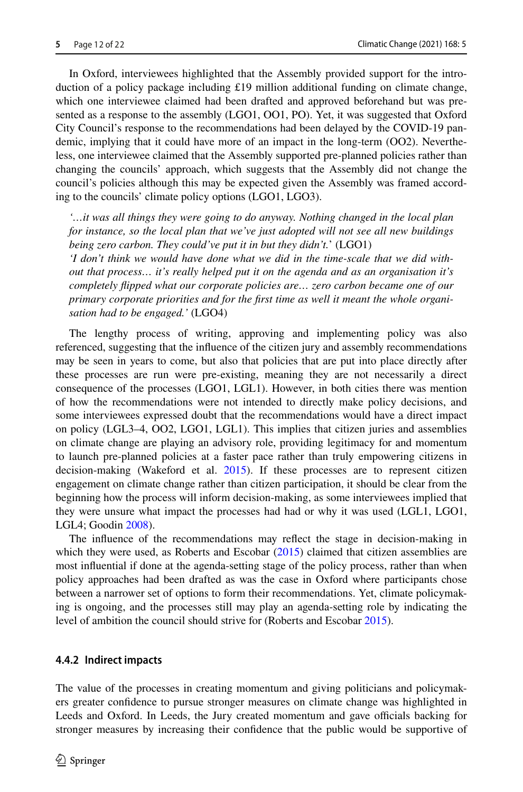In Oxford, interviewees highlighted that the Assembly provided support for the introduction of a policy package including £19 million additional funding on climate change, which one interviewee claimed had been drafted and approved beforehand but was presented as a response to the assembly (LGO1, OO1, PO). Yet, it was suggested that Oxford City Council's response to the recommendations had been delayed by the COVID-19 pandemic, implying that it could have more of an impact in the long-term (OO2). Nevertheless, one interviewee claimed that the Assembly supported pre-planned policies rather than changing the councils' approach, which suggests that the Assembly did not change the council's policies although this may be expected given the Assembly was framed according to the councils' climate policy options (LGO1, LGO3).

*'…it was all things they were going to do anyway. Nothing changed in the local plan for instance, so the local plan that we've just adopted will not see all new buildings being zero carbon. They could've put it in but they didn't.*' (LGO1) *'I don't think we would have done what we did in the time-scale that we did without that process… it's really helped put it on the agenda and as an organisation it's completely fipped what our corporate policies are… zero carbon became one of our primary corporate priorities and for the frst time as well it meant the whole organi-*

*sation had to be engaged.'* (LGO4)

The lengthy process of writing, approving and implementing policy was also referenced, suggesting that the infuence of the citizen jury and assembly recommendations may be seen in years to come, but also that policies that are put into place directly after these processes are run were pre-existing, meaning they are not necessarily a direct consequence of the processes (LGO1, LGL1). However, in both cities there was mention of how the recommendations were not intended to directly make policy decisions, and some interviewees expressed doubt that the recommendations would have a direct impact on policy (LGL3–4, OO2, LGO1, LGL1). This implies that citizen juries and assemblies on climate change are playing an advisory role, providing legitimacy for and momentum to launch pre-planned policies at a faster pace rather than truly empowering citizens in decision-making (Wakeford et al. [2015](#page-21-3)). If these processes are to represent citizen engagement on climate change rather than citizen participation, it should be clear from the beginning how the process will inform decision-making, as some interviewees implied that they were unsure what impact the processes had had or why it was used (LGL1, LGO1, LGL4; Goodin [2008\)](#page-19-25).

The infuence of the recommendations may refect the stage in decision-making in which they were used, as Roberts and Escobar [\(2015](#page-20-9)) claimed that citizen assemblies are most infuential if done at the agenda-setting stage of the policy process, rather than when policy approaches had been drafted as was the case in Oxford where participants chose between a narrower set of options to form their recommendations. Yet, climate policymaking is ongoing, and the processes still may play an agenda-setting role by indicating the level of ambition the council should strive for (Roberts and Escobar [2015](#page-20-9)).

### **4.4.2 Indirect impacts**

The value of the processes in creating momentum and giving politicians and policymakers greater confdence to pursue stronger measures on climate change was highlighted in Leeds and Oxford. In Leeds, the Jury created momentum and gave officials backing for stronger measures by increasing their confdence that the public would be supportive of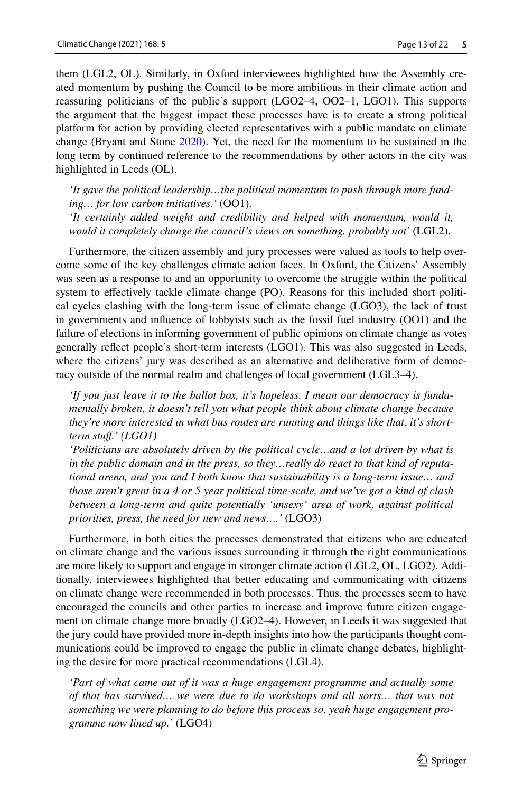them (LGL2, OL). Similarly, in Oxford interviewees highlighted how the Assembly created momentum by pushing the Council to be more ambitious in their climate action and reassuring politicians of the public's support (LGO2–4, OO2–1, LGO1). This supports the argument that the biggest impact these processes have is to create a strong political platform for action by providing elected representatives with a public mandate on climate change (Bryant and Stone [2020\)](#page-18-2). Yet, the need for the momentum to be sustained in the long term by continued reference to the recommendations by other actors in the city was highlighted in Leeds (OL).

*'It gave the political leadership…the political momentum to push through more funding… for low carbon initiatives.'* (OO1). *'It certainly added weight and credibility and helped with momentum, would it,* 

*would it completely change the council's views on something, probably not'* (LGL2).

Furthermore, the citizen assembly and jury processes were valued as tools to help overcome some of the key challenges climate action faces. In Oxford, the Citizens' Assembly was seen as a response to and an opportunity to overcome the struggle within the political system to efectively tackle climate change (PO). Reasons for this included short political cycles clashing with the long-term issue of climate change (LGO3), the lack of trust in governments and infuence of lobbyists such as the fossil fuel industry (OO1) and the failure of elections in informing government of public opinions on climate change as votes generally refect people's short-term interests (LGO1). This was also suggested in Leeds, where the citizens' jury was described as an alternative and deliberative form of democracy outside of the normal realm and challenges of local government (LGL3–4).

*'If you just leave it to the ballot box, it's hopeless. I mean our democracy is fundamentally broken, it doesn't tell you what people think about climate change because they're more interested in what bus routes are running and things like that, it's shortterm stuf.' (LGO1)*

*'Politicians are absolutely driven by the political cycle…and a lot driven by what is in the public domain and in the press, so they…really do react to that kind of reputational arena, and you and I both know that sustainability is a long-term issue… and those aren't great in a 4 or 5 year political time-scale, and we've got a kind of clash between a long-term and quite potentially 'unsexy' area of work, against political priorities, press, the need for new and news….'* (LGO3)

Furthermore, in both cities the processes demonstrated that citizens who are educated on climate change and the various issues surrounding it through the right communications are more likely to support and engage in stronger climate action (LGL2, OL, LGO2). Additionally, interviewees highlighted that better educating and communicating with citizens on climate change were recommended in both processes. Thus, the processes seem to have encouraged the councils and other parties to increase and improve future citizen engagement on climate change more broadly (LGO2–4). However, in Leeds it was suggested that the jury could have provided more in-depth insights into how the participants thought communications could be improved to engage the public in climate change debates, highlighting the desire for more practical recommendations (LGL4).

*Part of what came out of it was a huge engagement programme and actually some of that has survived… we were due to do workshops and all sorts… that was not something we were planning to do before this process so, yeah huge engagement programme now lined up.'* (LGO4)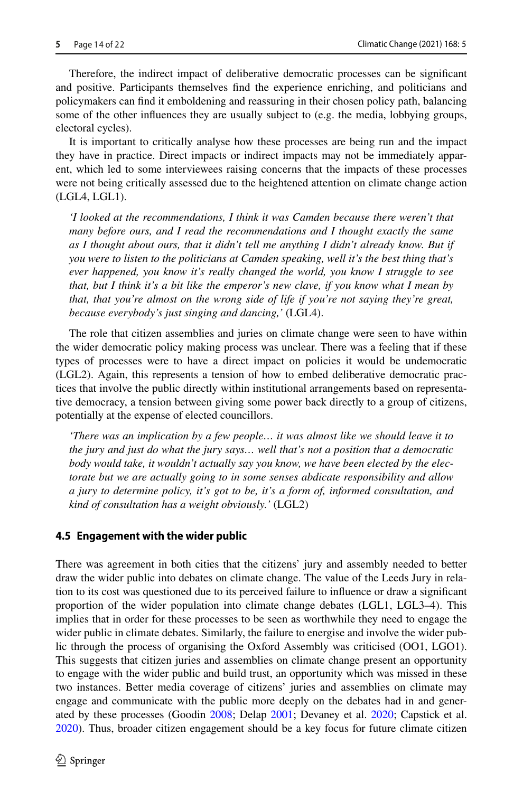Therefore, the indirect impact of deliberative democratic processes can be signifcant and positive. Participants themselves fnd the experience enriching, and politicians and policymakers can fnd it emboldening and reassuring in their chosen policy path, balancing some of the other infuences they are usually subject to (e.g. the media, lobbying groups, electoral cycles).

It is important to critically analyse how these processes are being run and the impact they have in practice. Direct impacts or indirect impacts may not be immediately apparent, which led to some interviewees raising concerns that the impacts of these processes were not being critically assessed due to the heightened attention on climate change action (LGL4, LGL1).

*'I looked at the recommendations, I think it was Camden because there weren't that many before ours, and I read the recommendations and I thought exactly the same as I thought about ours, that it didn't tell me anything I didn't already know. But if you were to listen to the politicians at Camden speaking, well it's the best thing that's ever happened, you know it's really changed the world, you know I struggle to see that, but I think it's a bit like the emperor's new clave, if you know what I mean by that, that you're almost on the wrong side of life if you're not saying they're great, because everybody's just singing and dancing,'* (LGL4).

The role that citizen assemblies and juries on climate change were seen to have within the wider democratic policy making process was unclear. There was a feeling that if these types of processes were to have a direct impact on policies it would be undemocratic (LGL2). Again, this represents a tension of how to embed deliberative democratic practices that involve the public directly within institutional arrangements based on representative democracy, a tension between giving some power back directly to a group of citizens, potentially at the expense of elected councillors.

*'There was an implication by a few people… it was almost like we should leave it to the jury and just do what the jury says… well that's not a position that a democratic body would take, it wouldn't actually say you know, we have been elected by the electorate but we are actually going to in some senses abdicate responsibility and allow a jury to determine policy, it's got to be, it's a form of, informed consultation, and kind of consultation has a weight obviously.'* (LGL2)

#### **4.5 Engagement with the wider public**

There was agreement in both cities that the citizens' jury and assembly needed to better draw the wider public into debates on climate change. The value of the Leeds Jury in relation to its cost was questioned due to its perceived failure to infuence or draw a signifcant proportion of the wider population into climate change debates (LGL1, LGL3–4). This implies that in order for these processes to be seen as worthwhile they need to engage the wider public in climate debates. Similarly, the failure to energise and involve the wider public through the process of organising the Oxford Assembly was criticised (OO1, LGO1). This suggests that citizen juries and assemblies on climate change present an opportunity to engage with the wider public and build trust, an opportunity which was missed in these two instances. Better media coverage of citizens' juries and assemblies on climate may engage and communicate with the public more deeply on the debates had in and generated by these processes (Goodin [2008](#page-19-25); Delap [2001](#page-19-20); Devaney et al. [2020;](#page-19-4) Capstick et al. [2020\)](#page-18-0). Thus, broader citizen engagement should be a key focus for future climate citizen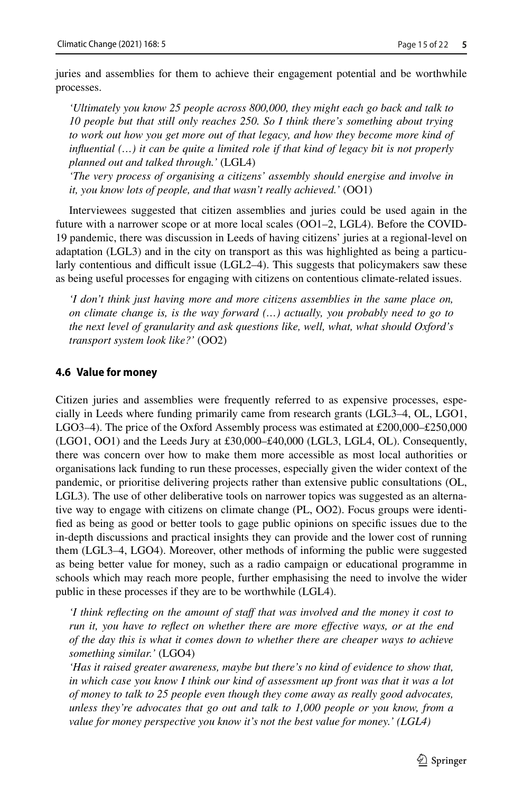juries and assemblies for them to achieve their engagement potential and be worthwhile processes.

*'Ultimately you know 25 people across 800,000, they might each go back and talk to 10 people but that still only reaches 250. So I think there's something about trying to work out how you get more out of that legacy, and how they become more kind of infuential (…) it can be quite a limited role if that kind of legacy bit is not properly planned out and talked through.'* (LGL4)

*'The very process of organising a citizens' assembly should energise and involve in it, you know lots of people, and that wasn't really achieved.'* (OO1)

Interviewees suggested that citizen assemblies and juries could be used again in the future with a narrower scope or at more local scales (OO1–2, LGL4). Before the COVID-19 pandemic, there was discussion in Leeds of having citizens' juries at a regional-level on adaptation (LGL3) and in the city on transport as this was highlighted as being a particularly contentious and difficult issue  $(LGL2-4)$ . This suggests that policymakers saw these as being useful processes for engaging with citizens on contentious climate-related issues.

*'I don't think just having more and more citizens assemblies in the same place on, on climate change is, is the way forward (…) actually, you probably need to go to the next level of granularity and ask questions like, well, what, what should Oxford's transport system look like?'* (OO2)

#### **4.6 Value for money**

Citizen juries and assemblies were frequently referred to as expensive processes, especially in Leeds where funding primarily came from research grants (LGL3–4, OL, LGO1, LGO3–4). The price of the Oxford Assembly process was estimated at £200,000–£250,000 (LGO1, OO1) and the Leeds Jury at £30,000–£40,000 (LGL3, LGL4, OL). Consequently, there was concern over how to make them more accessible as most local authorities or organisations lack funding to run these processes, especially given the wider context of the pandemic, or prioritise delivering projects rather than extensive public consultations (OL, LGL3). The use of other deliberative tools on narrower topics was suggested as an alternative way to engage with citizens on climate change (PL, OO2). Focus groups were identifed as being as good or better tools to gage public opinions on specifc issues due to the in-depth discussions and practical insights they can provide and the lower cost of running them (LGL3–4, LGO4). Moreover, other methods of informing the public were suggested as being better value for money, such as a radio campaign or educational programme in schools which may reach more people, further emphasising the need to involve the wider public in these processes if they are to be worthwhile (LGL4).

*I think reflecting on the amount of staff that was involved and the money it cost to run it, you have to refect on whether there are more efective ways, or at the end of the day this is what it comes down to whether there are cheaper ways to achieve something similar.'* (LGO4)

*'Has it raised greater awareness, maybe but there's no kind of evidence to show that, in which case you know I think our kind of assessment up front was that it was a lot of money to talk to 25 people even though they come away as really good advocates, unless they're advocates that go out and talk to 1,000 people or you know, from a value for money perspective you know it's not the best value for money.' (LGL4)*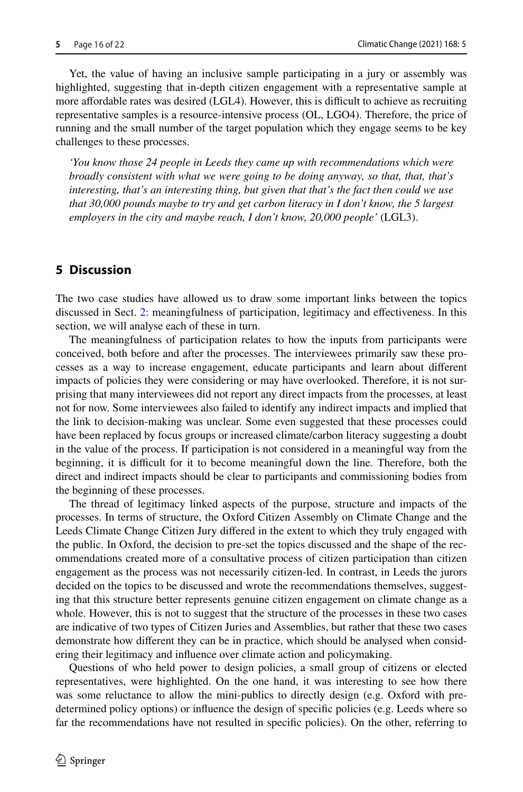Yet, the value of having an inclusive sample participating in a jury or assembly was highlighted, suggesting that in-depth citizen engagement with a representative sample at more affordable rates was desired (LGL4). However, this is difficult to achieve as recruiting representative samples is a resource-intensive process (OL, LGO4). Therefore, the price of running and the small number of the target population which they engage seems to be key challenges to these processes.

*'You know those 24 people in Leeds they came up with recommendations which were broadly consistent with what we were going to be doing anyway, so that, that, that's interesting, that's an interesting thing, but given that that's the fact then could we use that 30,000 pounds maybe to try and get carbon literacy in I don't know, the 5 largest employers in the city and maybe reach, I don't know, 20,000 people'* (LGL3).

## **5 Discussion**

The two case studies have allowed us to draw some important links between the topics discussed in Sect. [2:](#page-1-0) meaningfulness of participation, legitimacy and efectiveness. In this section, we will analyse each of these in turn.

The meaningfulness of participation relates to how the inputs from participants were conceived, both before and after the processes. The interviewees primarily saw these processes as a way to increase engagement, educate participants and learn about diferent impacts of policies they were considering or may have overlooked. Therefore, it is not surprising that many interviewees did not report any direct impacts from the processes, at least not for now. Some interviewees also failed to identify any indirect impacts and implied that the link to decision-making was unclear. Some even suggested that these processes could have been replaced by focus groups or increased climate/carbon literacy suggesting a doubt in the value of the process. If participation is not considered in a meaningful way from the beginning, it is difficult for it to become meaningful down the line. Therefore, both the direct and indirect impacts should be clear to participants and commissioning bodies from the beginning of these processes.

The thread of legitimacy linked aspects of the purpose, structure and impacts of the processes. In terms of structure, the Oxford Citizen Assembly on Climate Change and the Leeds Climate Change Citizen Jury difered in the extent to which they truly engaged with the public. In Oxford, the decision to pre-set the topics discussed and the shape of the recommendations created more of a consultative process of citizen participation than citizen engagement as the process was not necessarily citizen-led. In contrast, in Leeds the jurors decided on the topics to be discussed and wrote the recommendations themselves, suggesting that this structure better represents genuine citizen engagement on climate change as a whole. However, this is not to suggest that the structure of the processes in these two cases are indicative of two types of Citizen Juries and Assemblies, but rather that these two cases demonstrate how diferent they can be in practice, which should be analysed when considering their legitimacy and infuence over climate action and policymaking.

Questions of who held power to design policies, a small group of citizens or elected representatives, were highlighted. On the one hand, it was interesting to see how there was some reluctance to allow the mini-publics to directly design (e.g. Oxford with predetermined policy options) or infuence the design of specifc policies (e.g. Leeds where so far the recommendations have not resulted in specifc policies). On the other, referring to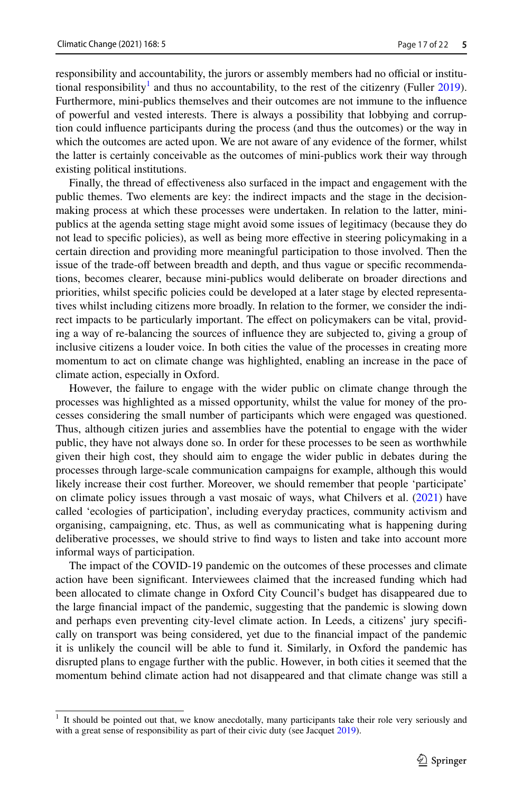responsibility and accountability, the jurors or assembly members had no official or institu-tional responsibility<sup>1</sup> and thus no accountability, to the rest of the citizenry (Fuller [2019](#page-19-26)). Furthermore, mini-publics themselves and their outcomes are not immune to the infuence of powerful and vested interests. There is always a possibility that lobbying and corruption could infuence participants during the process (and thus the outcomes) or the way in which the outcomes are acted upon. We are not aware of any evidence of the former, whilst the latter is certainly conceivable as the outcomes of mini-publics work their way through existing political institutions.

Finally, the thread of efectiveness also surfaced in the impact and engagement with the public themes. Two elements are key: the indirect impacts and the stage in the decisionmaking process at which these processes were undertaken. In relation to the latter, minipublics at the agenda setting stage might avoid some issues of legitimacy (because they do not lead to specifc policies), as well as being more efective in steering policymaking in a certain direction and providing more meaningful participation to those involved. Then the issue of the trade-off between breadth and depth, and thus vague or specific recommendations, becomes clearer, because mini-publics would deliberate on broader directions and priorities, whilst specifc policies could be developed at a later stage by elected representatives whilst including citizens more broadly. In relation to the former, we consider the indirect impacts to be particularly important. The efect on policymakers can be vital, providing a way of re-balancing the sources of infuence they are subjected to, giving a group of inclusive citizens a louder voice. In both cities the value of the processes in creating more momentum to act on climate change was highlighted, enabling an increase in the pace of climate action, especially in Oxford.

However, the failure to engage with the wider public on climate change through the processes was highlighted as a missed opportunity, whilst the value for money of the processes considering the small number of participants which were engaged was questioned. Thus, although citizen juries and assemblies have the potential to engage with the wider public, they have not always done so. In order for these processes to be seen as worthwhile given their high cost, they should aim to engage the wider public in debates during the processes through large-scale communication campaigns for example, although this would likely increase their cost further. Moreover, we should remember that people 'participate' on climate policy issues through a vast mosaic of ways, what Chilvers et al. ([2021\)](#page-18-8) have called 'ecologies of participation', including everyday practices, community activism and organising, campaigning, etc. Thus, as well as communicating what is happening during deliberative processes, we should strive to fnd ways to listen and take into account more informal ways of participation.

The impact of the COVID-19 pandemic on the outcomes of these processes and climate action have been signifcant. Interviewees claimed that the increased funding which had been allocated to climate change in Oxford City Council's budget has disappeared due to the large fnancial impact of the pandemic, suggesting that the pandemic is slowing down and perhaps even preventing city-level climate action. In Leeds, a citizens' jury specifcally on transport was being considered, yet due to the fnancial impact of the pandemic it is unlikely the council will be able to fund it. Similarly, in Oxford the pandemic has disrupted plans to engage further with the public. However, in both cities it seemed that the momentum behind climate action had not disappeared and that climate change was still a

<span id="page-16-0"></span> $1$  It should be pointed out that, we know anecdotally, many participants take their role very seriously and with a great sense of responsibility as part of their civic duty (see Jacquet [2019](#page-19-27)).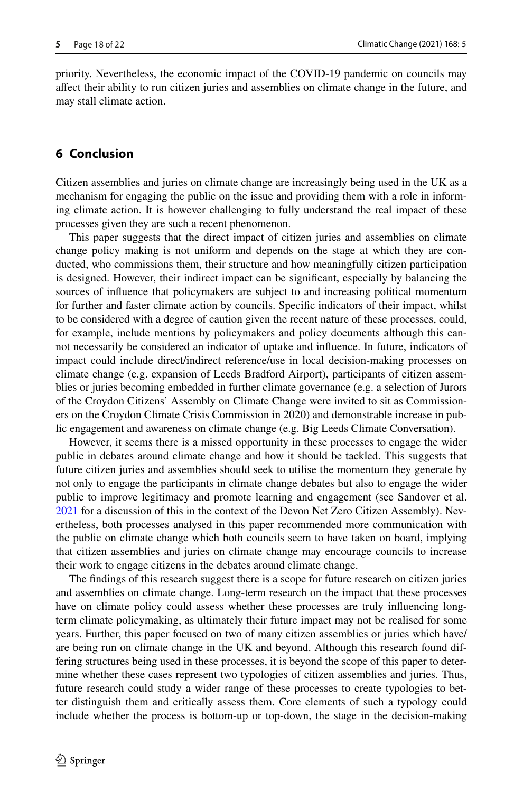priority. Nevertheless, the economic impact of the COVID-19 pandemic on councils may afect their ability to run citizen juries and assemblies on climate change in the future, and may stall climate action.

## **6 Conclusion**

Citizen assemblies and juries on climate change are increasingly being used in the UK as a mechanism for engaging the public on the issue and providing them with a role in informing climate action. It is however challenging to fully understand the real impact of these processes given they are such a recent phenomenon.

This paper suggests that the direct impact of citizen juries and assemblies on climate change policy making is not uniform and depends on the stage at which they are conducted, who commissions them, their structure and how meaningfully citizen participation is designed. However, their indirect impact can be signifcant, especially by balancing the sources of infuence that policymakers are subject to and increasing political momentum for further and faster climate action by councils. Specifc indicators of their impact, whilst to be considered with a degree of caution given the recent nature of these processes, could, for example, include mentions by policymakers and policy documents although this cannot necessarily be considered an indicator of uptake and infuence. In future, indicators of impact could include direct/indirect reference/use in local decision-making processes on climate change (e.g. expansion of Leeds Bradford Airport), participants of citizen assemblies or juries becoming embedded in further climate governance (e.g. a selection of Jurors of the Croydon Citizens' Assembly on Climate Change were invited to sit as Commissioners on the Croydon Climate Crisis Commission in 2020) and demonstrable increase in public engagement and awareness on climate change (e.g. Big Leeds Climate Conversation).

However, it seems there is a missed opportunity in these processes to engage the wider public in debates around climate change and how it should be tackled. This suggests that future citizen juries and assemblies should seek to utilise the momentum they generate by not only to engage the participants in climate change debates but also to engage the wider public to improve legitimacy and promote learning and engagement (see Sandover et al. [2021](#page-20-3) for a discussion of this in the context of the Devon Net Zero Citizen Assembly). Nevertheless, both processes analysed in this paper recommended more communication with the public on climate change which both councils seem to have taken on board, implying that citizen assemblies and juries on climate change may encourage councils to increase their work to engage citizens in the debates around climate change.

The fndings of this research suggest there is a scope for future research on citizen juries and assemblies on climate change. Long-term research on the impact that these processes have on climate policy could assess whether these processes are truly infuencing longterm climate policymaking, as ultimately their future impact may not be realised for some years. Further, this paper focused on two of many citizen assemblies or juries which have/ are being run on climate change in the UK and beyond. Although this research found differing structures being used in these processes, it is beyond the scope of this paper to determine whether these cases represent two typologies of citizen assemblies and juries. Thus, future research could study a wider range of these processes to create typologies to better distinguish them and critically assess them. Core elements of such a typology could include whether the process is bottom-up or top-down, the stage in the decision-making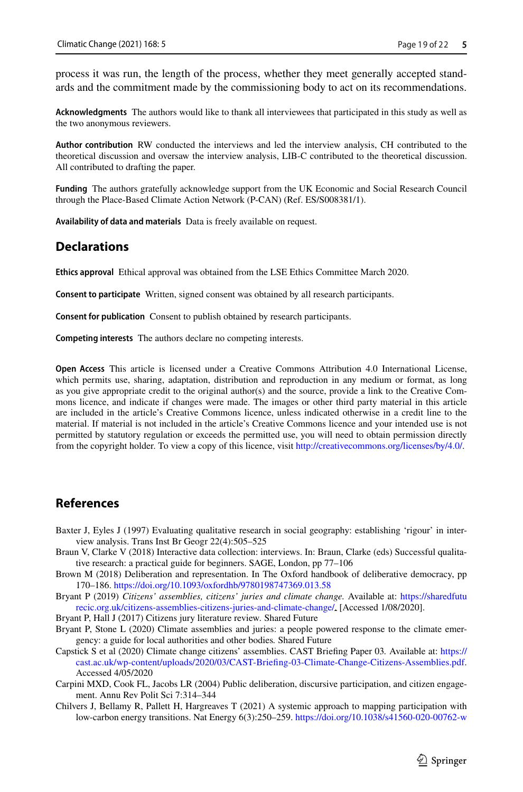process it was run, the length of the process, whether they meet generally accepted standards and the commitment made by the commissioning body to act on its recommendations.

**Acknowledgments** The authors would like to thank all interviewees that participated in this study as well as the two anonymous reviewers.

**Author contribution** RW conducted the interviews and led the interview analysis, CH contributed to the theoretical discussion and oversaw the interview analysis, LIB-C contributed to the theoretical discussion. All contributed to drafting the paper.

**Funding** The authors gratefully acknowledge support from the UK Economic and Social Research Council through the Place-Based Climate Action Network (P-CAN) (Ref. ES/S008381/1).

**Availability of data and materials** Data is freely available on request.

## **Declarations**

**Ethics approval** Ethical approval was obtained from the LSE Ethics Committee March 2020.

**Consent to participate** Written, signed consent was obtained by all research participants.

**Consent for publication** Consent to publish obtained by research participants.

**Competing interests** The authors declare no competing interests.

**Open Access** This article is licensed under a Creative Commons Attribution 4.0 International License, which permits use, sharing, adaptation, distribution and reproduction in any medium or format, as long as you give appropriate credit to the original author(s) and the source, provide a link to the Creative Commons licence, and indicate if changes were made. The images or other third party material in this article are included in the article's Creative Commons licence, unless indicated otherwise in a credit line to the material. If material is not included in the article's Creative Commons licence and your intended use is not permitted by statutory regulation or exceeds the permitted use, you will need to obtain permission directly from the copyright holder. To view a copy of this licence, visit [http://creativecommons.org/licenses/by/4.0/.](http://creativecommons.org/licenses/by/4.0/)

### **References**

<span id="page-18-7"></span>Baxter J, Eyles J (1997) Evaluating qualitative research in social geography: establishing 'rigour' in interview analysis. Trans Inst Br Geogr 22(4):505–525

- <span id="page-18-6"></span>Braun V, Clarke V (2018) Interactive data collection: interviews. In: Braun, Clarke (eds) Successful qualitative research: a practical guide for beginners. SAGE, London, pp 77–106
- <span id="page-18-5"></span>Brown M (2018) Deliberation and representation. In The Oxford handbook of deliberative democracy, pp 170–186. <https://doi.org/10.1093/oxfordhb/9780198747369.013.58>

<span id="page-18-1"></span>Bryant P (2019) *Citizens' assemblies, citizens' juries and climate change.* Available at: [https://sharedfutu](https://sharedfuturecic.org.uk/citizens-assemblies-citizens-juries-and-climate-change/) [recic.org.uk/citizens-assemblies-citizens-juries-and-climate-change/](https://sharedfuturecic.org.uk/citizens-assemblies-citizens-juries-and-climate-change/). [Accessed 1/08/2020].

<span id="page-18-4"></span>Bryant P, Hall J (2017) Citizens jury literature review*.* Shared Future

<span id="page-18-2"></span>Bryant P, Stone L (2020) Climate assemblies and juries: a people powered response to the climate emergency: a guide for local authorities and other bodies*.* Shared Future

- <span id="page-18-0"></span>Capstick S et al (2020) Climate change citizens' assemblies. CAST Briefng Paper 03*.* Available at: [https://](https://cast.ac.uk/wp-content/uploads/2020/03/CAST-Briefing-03-Climate-Change-Citizens-Assemblies.pdf) [cast.ac.uk/wp-content/uploads/2020/03/CAST-Briefing-03-Climate-Change-Citizens-Assemblies.pdf.](https://cast.ac.uk/wp-content/uploads/2020/03/CAST-Briefing-03-Climate-Change-Citizens-Assemblies.pdf) Accessed 4/05/2020
- <span id="page-18-3"></span>Carpini MXD, Cook FL, Jacobs LR (2004) Public deliberation, discursive participation, and citizen engagement. Annu Rev Polit Sci 7:314–344
- <span id="page-18-8"></span>Chilvers J, Bellamy R, Pallett H, Hargreaves T (2021) A systemic approach to mapping participation with low-carbon energy transitions. Nat Energy 6(3):250–259.<https://doi.org/10.1038/s41560-020-00762-w>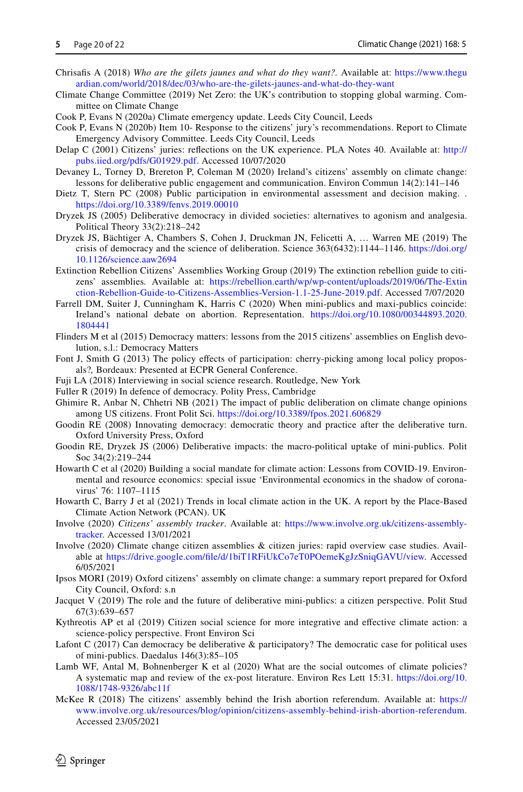- <span id="page-19-11"></span>Chrisafs A (2018) *Who are the gilets jaunes and what do they want?.* Available at: [https://www.thegu](https://www.theguardian.com/world/2018/dec/03/who-are-the-gilets-jaunes-and-what-do-they-want) [ardian.com/world/2018/dec/03/who-are-the-gilets-jaunes-and-what-do-they-want](https://www.theguardian.com/world/2018/dec/03/who-are-the-gilets-jaunes-and-what-do-they-want)
- <span id="page-19-0"></span>Climate Change Committee (2019) Net Zero: the UK's contribution to stopping global warming. Committee on Climate Change
- <span id="page-19-23"></span>Cook P, Evans N (2020a) Climate emergency update. Leeds City Council, Leeds
- <span id="page-19-24"></span>Cook P, Evans N (2020b) Item 10- Response to the citizens' jury's recommendations. Report to Climate Emergency Advisory Committee. Leeds City Council, Leeds
- <span id="page-19-20"></span>Delap C (2001) Citizens' juries: refections on the UK experience. PLA Notes 40. Available at: [http://](http://pubs.iied.org/pdfs/G01929.pdf) [pubs.iied.org/pdfs/G01929.pdf](http://pubs.iied.org/pdfs/G01929.pdf). Accessed 10/07/2020
- <span id="page-19-4"></span>Devaney L, Torney D, Brereton P, Coleman M (2020) Ireland's citizens' assembly on climate change: lessons for deliberative public engagement and communication. Environ Commun 14(2):141–146
- <span id="page-19-6"></span>Dietz T, Stern PC (2008) Public participation in environmental assessment and decision making. . <https://doi.org/10.3389/fenvs.2019.00010>
- <span id="page-19-7"></span>Dryzek JS (2005) Deliberative democracy in divided societies: alternatives to agonism and analgesia. Political Theory 33(2):218–242
- <span id="page-19-8"></span>Dryzek JS, Bächtiger A, Chambers S, Cohen J, Druckman JN, Felicetti A, … Warren ME (2019) The crisis of democracy and the science of deliberation. Science 363(6432):1144–1146. [https://doi.org/](https://doi.org/10.1126/science.aaw2694) [10.1126/science.aaw2694](https://doi.org/10.1126/science.aaw2694)
- <span id="page-19-5"></span>Extinction Rebellion Citizens' Assemblies Working Group (2019) The extinction rebellion guide to citizens' assemblies*.* Available at: [https://rebellion.earth/wp/wp-content/uploads/2019/06/The-Extin](https://rebellion.earth/wp/wp-content/uploads/2019/06/The-Extinction-Rebellion-Guide-to-Citizens-Assemblies-Version-1.1-25-June-2019.pdf) [ction-Rebellion-Guide-to-Citizens-Assemblies-Version-1.1-25-June-2019.pdf.](https://rebellion.earth/wp/wp-content/uploads/2019/06/The-Extinction-Rebellion-Guide-to-Citizens-Assemblies-Version-1.1-25-June-2019.pdf) Accessed 7/07/2020
- <span id="page-19-9"></span>Farrell DM, Suiter J, Cunningham K, Harris C (2020) When mini-publics and maxi-publics coincide: Ireland's national debate on abortion. Representation. [https://doi.org/10.1080/00344893.2020.](https://doi.org/10.1080/00344893.2020.1804441) [1804441](https://doi.org/10.1080/00344893.2020.1804441)
- <span id="page-19-18"></span>Flinders M et al (2015) Democracy matters: lessons from the 2015 citizens' assemblies on English devolution, s.l.: Democracy Matters
- <span id="page-19-19"></span>Font J, Smith G (2013) The policy efects of participation: cherry-picking among local policy proposals?*,* Bordeaux: Presented at ECPR General Conference.
- <span id="page-19-21"></span>Fuji LA (2018) Interviewing in social science research. Routledge, New York
- <span id="page-19-26"></span>Fuller R (2019) In defence of democracy. Polity Press, Cambridge
- <span id="page-19-13"></span>Ghimire R, Anbar N, Chhetri NB (2021) The impact of public deliberation on climate change opinions among US citizens. Front Polit Sci. <https://doi.org/10.3389/fpos.2021.606829>
- <span id="page-19-25"></span>Goodin RE (2008) Innovating democracy: democratic theory and practice after the deliberative turn. Oxford University Press, Oxford
- <span id="page-19-15"></span>Goodin RE, Dryzek JS (2006) Deliberative impacts: the macro-political uptake of mini-publics. Polit Soc 34(2):219–244
- <span id="page-19-3"></span>Howarth C et al (2020) Building a social mandate for climate action: Lessons from COVID-19. Environmental and resource economics: special issue 'Environmental economics in the shadow of coronavirus' 76: 1107–1115
- <span id="page-19-1"></span>Howarth C, Barry J et al (2021) Trends in local climate action in the UK. A report by the Place-Based Climate Action Network (PCAN). UK
- <span id="page-19-16"></span>Involve (2020) *Citizens' assembly tracker*. Available at: [https://www.involve.org.uk/citizens-assembly](https://www.involve.org.uk/citizens-assembly-tracker)[tracker](https://www.involve.org.uk/citizens-assembly-tracker). Accessed 13/01/2021
- <span id="page-19-17"></span>Involve (2020) Climate change citizen assemblies & citizen juries: rapid overview case studies. Available at [https://drive.google.com/fle/d/1biT1RFiUkCo7eT0POemeKgJzSniqGAVU/view.](https://drive.google.com/file/d/1biT1RFiUkCo7eT0POemeKgJzSniqGAVU/view) Accessed 6/05/2021
- <span id="page-19-22"></span>Ipsos MORI (2019) Oxford citizens' assembly on climate change: a summary report prepared for Oxford City Council, Oxford: s.n
- <span id="page-19-27"></span>Jacquet V (2019) The role and the future of deliberative mini-publics: a citizen perspective. Polit Stud 67(3):639–657
- <span id="page-19-2"></span>Kythreotis AP et al (2019) Citizen social science for more integrative and efective climate action: a science-policy perspective. Front Environ Sci
- <span id="page-19-14"></span>Lafont C (2017) Can democracy be deliberative & participatory? The democratic case for political uses of mini-publics. Daedalus 146(3):85–105
- <span id="page-19-12"></span>Lamb WF, Antal M, Bohnenberger K et al (2020) What are the social outcomes of climate policies? A systematic map and review of the ex-post literature. Environ Res Lett 15:31. [https://doi.org/10.](https://doi.org/10.1088/1748-9326/abc11f) [1088/1748-9326/abc11f](https://doi.org/10.1088/1748-9326/abc11f)
- <span id="page-19-10"></span>McKee R (2018) The citizens' assembly behind the Irish abortion referendum. Available at: [https://](https://www.involve.org.uk/resources/blog/opinion/citizens-assembly-behind-irish-abortion-referendum) [www.involve.org.uk/resources/blog/opinion/citizens-assembly-behind-irish-abortion-referendum.](https://www.involve.org.uk/resources/blog/opinion/citizens-assembly-behind-irish-abortion-referendum) Accessed 23/05/2021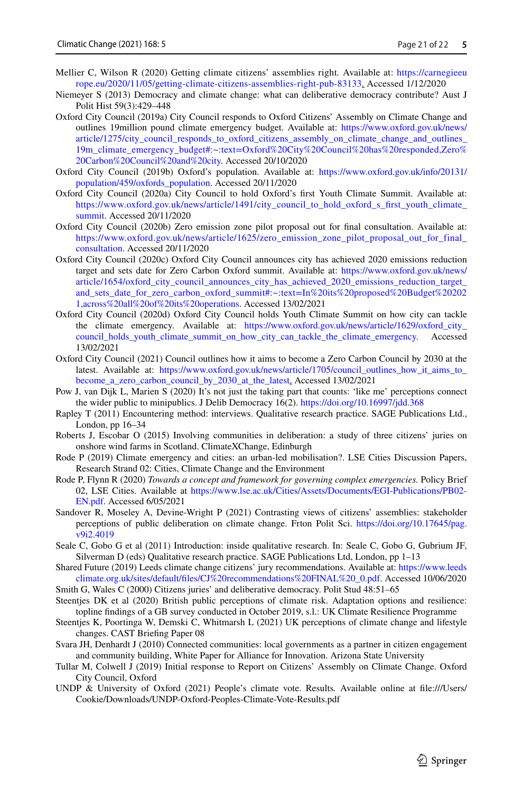- <span id="page-20-11"></span>Mellier C, Wilson R (2020) Getting climate citizens' assemblies right*.* Available at: [https://carnegieeu](https://carnegieeurope.eu/2020/11/05/getting-climate-citizens-assemblies-right-pub-83133) [rope.eu/2020/11/05/getting-climate-citizens-assemblies-right-pub-83133](https://carnegieeurope.eu/2020/11/05/getting-climate-citizens-assemblies-right-pub-83133). Accessed 1/12/2020
- <span id="page-20-7"></span>Niemeyer S (2013) Democracy and climate change: what can deliberative democracy contribute? Aust J Polit Hist 59(3):429–448
- <span id="page-20-15"></span>Oxford City Council (2019a) City Council responds to Oxford Citizens' Assembly on Climate Change and outlines 19million pound climate emergency budget. Available at: [https://www.oxford.gov.uk/news/](https://www.oxford.gov.uk/news/article/1275/city_council_responds_to_oxford_citizens_assembly_on_climate_change_and_outlines_19m_climate_emergency_budget#:~:text=Oxford%20City%20Council%20has%20responded,Zero%20Carbon%20Council%20and%20city) [article/1275/city\\_council\\_responds\\_to\\_oxford\\_citizens\\_assembly\\_on\\_climate\\_change\\_and\\_outlines\\_](https://www.oxford.gov.uk/news/article/1275/city_council_responds_to_oxford_citizens_assembly_on_climate_change_and_outlines_19m_climate_emergency_budget#:~:text=Oxford%20City%20Council%20has%20responded,Zero%20Carbon%20Council%20and%20city) [19m\\_climate\\_emergency\\_budget#:~:text=Oxford%20City%20Council%20has%20responded,Zero%](https://www.oxford.gov.uk/news/article/1275/city_council_responds_to_oxford_citizens_assembly_on_climate_change_and_outlines_19m_climate_emergency_budget#:~:text=Oxford%20City%20Council%20has%20responded,Zero%20Carbon%20Council%20and%20city) [20Carbon%20Council%20and%20city.](https://www.oxford.gov.uk/news/article/1275/city_council_responds_to_oxford_citizens_assembly_on_climate_change_and_outlines_19m_climate_emergency_budget#:~:text=Oxford%20City%20Council%20has%20responded,Zero%20Carbon%20Council%20and%20city) Accessed 20/10/2020
- <span id="page-20-16"></span>Oxford City Council (2019b) Oxford's population. Available at: [https://www.oxford.gov.uk/info/20131/](https://www.oxford.gov.uk/info/20131/population/459/oxfords_population) [population/459/oxfords\\_population.](https://www.oxford.gov.uk/info/20131/population/459/oxfords_population) Accessed 20/11/2020
- <span id="page-20-17"></span>Oxford City Council (2020a) City Council to hold Oxford's frst Youth Climate Summit. Available at: [https://www.oxford.gov.uk/news/article/1491/city\\_council\\_to\\_hold\\_oxford\\_s\\_frst\\_youth\\_climate\\_](https://www.oxford.gov.uk/news/article/1491/city_council_to_hold_oxford_s_first_youth_climate_summit) [summit.](https://www.oxford.gov.uk/news/article/1491/city_council_to_hold_oxford_s_first_youth_climate_summit) Accessed 20/11/2020
- <span id="page-20-18"></span>Oxford City Council (2020b) Zero emission zone pilot proposal out for fnal consultation. Available at: [https://www.oxford.gov.uk/news/article/1625/zero\\_emission\\_zone\\_pilot\\_proposal\\_out\\_for\\_final\\_](https://www.oxford.gov.uk/news/article/1625/zero_emission_zone_pilot_proposal_out_for_final_consultation) [consultation.](https://www.oxford.gov.uk/news/article/1625/zero_emission_zone_pilot_proposal_out_for_final_consultation) Accessed 20/11/2020
- <span id="page-20-19"></span>Oxford City Council (2020c) Oxford City Council announces city has achieved 2020 emissions reduction target and sets date for Zero Carbon Oxford summit. Available at: [https://www.oxford.gov.uk/news/](https://www.oxford.gov.uk/news/article/1654/oxford_city_council_announces_city_has_achieved_2020_emissions_reduction_target_and_sets_date_for_zero_carbon_oxford_summit#:~:text=In%20its%20proposed%20Budget%202021,across%20all%20of%20its%20operations) [article/1654/oxford\\_city\\_council\\_announces\\_city\\_has\\_achieved\\_2020\\_emissions\\_reduction\\_target\\_](https://www.oxford.gov.uk/news/article/1654/oxford_city_council_announces_city_has_achieved_2020_emissions_reduction_target_and_sets_date_for_zero_carbon_oxford_summit#:~:text=In%20its%20proposed%20Budget%202021,across%20all%20of%20its%20operations) [and\\_sets\\_date\\_for\\_zero\\_carbon\\_oxford\\_summit#:~:text=In%20its%20proposed%20Budget%20202](https://www.oxford.gov.uk/news/article/1654/oxford_city_council_announces_city_has_achieved_2020_emissions_reduction_target_and_sets_date_for_zero_carbon_oxford_summit#:~:text=In%20its%20proposed%20Budget%202021,across%20all%20of%20its%20operations) [1,across%20all%20of%20its%20operations](https://www.oxford.gov.uk/news/article/1654/oxford_city_council_announces_city_has_achieved_2020_emissions_reduction_target_and_sets_date_for_zero_carbon_oxford_summit#:~:text=In%20its%20proposed%20Budget%202021,across%20all%20of%20its%20operations). Accessed 13/02/2021
- <span id="page-20-20"></span>Oxford City Council (2020d) Oxford City Council holds Youth Climate Summit on how city can tackle the climate emergency. Available at: [https://www.oxford.gov.uk/news/article/1629/oxford\\_city\\_](https://www.oxford.gov.uk/news/article/1629/oxford_city_council_holds_youth_climate_summit_on_how_city_can_tackle_the_climate_emergency)council holds youth climate summit on how city can tackle the climate emergency. Accessed [council\\_holds\\_youth\\_climate\\_summit\\_on\\_how\\_city\\_can\\_tackle\\_the\\_climate\\_emergency.](https://www.oxford.gov.uk/news/article/1629/oxford_city_council_holds_youth_climate_summit_on_how_city_can_tackle_the_climate_emergency) 13/02/2021
- <span id="page-20-22"></span>Oxford City Council (2021) Council outlines how it aims to become a Zero Carbon Council by 2030 at the latest. Available at: [https://www.oxford.gov.uk/news/article/1705/council\\_outlines\\_how\\_it\\_aims\\_to\\_](https://www.oxford.gov.uk/news/article/1705/council_outlines_how_it_aims_to_become_a_zero_carbon_council_by_2030_at_the_latest) [become\\_a\\_zero\\_carbon\\_council\\_by\\_2030\\_at\\_the\\_latest.](https://www.oxford.gov.uk/news/article/1705/council_outlines_how_it_aims_to_become_a_zero_carbon_council_by_2030_at_the_latest) Accessed 13/02/2021
- <span id="page-20-12"></span>Pow J, van Dijk L, Marien S (2020) It's not just the taking part that counts: 'like me' perceptions connect the wider public to minipublics. J Delib Democracy 16(2). <https://doi.org/10.16997/jdd.368>
- <span id="page-20-14"></span>Rapley T (2011) Encountering method: interviews. Qualitative research practice. SAGE Publications Ltd., London, pp 16–34
- <span id="page-20-9"></span>Roberts J, Escobar O (2015) Involving communities in deliberation: a study of three citizens' juries on onshore wind farms in Scotland. ClimateXChange, Edinburgh
- <span id="page-20-0"></span>Rode P (2019) Climate emergency and cities: an urban-led mobilisation?. LSE Cities Discussion Papers, Research Strand 02: Cities, Climate Change and the Environment
- <span id="page-20-6"></span>Rode P, Flynn R (2020) *Towards a concept and framework for governing complex emergencies.* Policy Brief 02, LSE Cities. Available at [https://www.lse.ac.uk/Cities/Assets/Documents/EGI-Publications/PB02-](https://www.lse.ac.uk/Cities/Assets/Documents/EGI-Publications/PB02-EN.pdf) [EN.pdf.](https://www.lse.ac.uk/Cities/Assets/Documents/EGI-Publications/PB02-EN.pdf) Accessed 6/05/2021
- <span id="page-20-3"></span>Sandover R, Moseley A, Devine-Wright P (2021) Contrasting views of citizens' assemblies: stakeholder perceptions of public deliberation on climate change. Frton Polit Sci. [https://doi.org/10.17645/pag.](https://doi.org/10.17645/pag.v9i2.4019) [v9i2.4019](https://doi.org/10.17645/pag.v9i2.4019)
- <span id="page-20-13"></span>Seale C, Gobo G et al (2011) Introduction: inside qualitative research. In: Seale C, Gobo G, Gubrium JF, Silverman D (eds) Qualitative research practice. SAGE Publications Ltd, London, pp 1–13
- <span id="page-20-10"></span>Shared Future (2019) Leeds climate change citizens' jury recommendations. Available at: [https://www.leeds](https://www.leedsclimate.org.uk/sites/default/files/CJ%20recommendations%20FINAL%20_0.pdf) [climate.org.uk/sites/default/fles/CJ%20recommendations%20FINAL%20\\_0.pdf.](https://www.leedsclimate.org.uk/sites/default/files/CJ%20recommendations%20FINAL%20_0.pdf) Accessed 10/06/2020
- <span id="page-20-5"></span><span id="page-20-2"></span>Smith G, Wales C (2000) Citizens juries' and deliberative democracy. Polit Stud 48:51–65 Steentjes DK et al (2020) British public perceptions of climate risk. Adaptation options and resilience:
- topline fndings of a GB survey conducted in October 2019, s.l.: UK Climate Resilience Programme
- <span id="page-20-4"></span>Steentjes K, Poortinga W, Demski C, Whitmarsh L (2021) UK perceptions of climate change and lifestyle changes. CAST Briefng Paper 08
- <span id="page-20-8"></span>Svara JH, Denhardt J (2010) Connected communities: local governments as a partner in citizen engagement and community building, White Paper for Alliance for Innovation. Arizona State University
- <span id="page-20-21"></span>Tullar M, Colwell J (2019) Initial response to Report on Citizens' Assembly on Climate Change. Oxford City Council, Oxford
- <span id="page-20-1"></span>UNDP & University of Oxford (2021) People's climate vote. Results*.* Available online at fle:///Users/ Cookie/Downloads/UNDP-Oxford-Peoples-Climate-Vote-Results.pdf